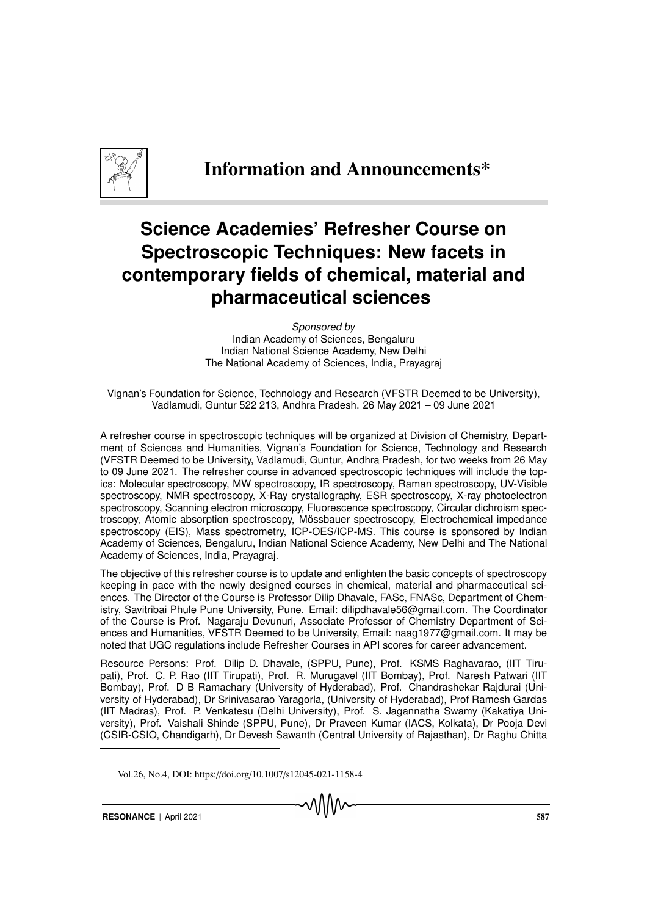

## Information and Announcements\*

## **Science Academies' Refresher Course on Spectroscopic Techniques: New facets in contemporary fields of chemical, material and pharmaceutical sciences**

Sponsored by Indian Academy of Sciences, Bengaluru Indian National Science Academy, New Delhi The National Academy of Sciences, India, Prayagraj

Vignan's Foundation for Science, Technology and Research (VFSTR Deemed to be University), Vadlamudi, Guntur 522 213, Andhra Pradesh. 26 May 2021 – 09 June 2021

A refresher course in spectroscopic techniques will be organized at Division of Chemistry, Department of Sciences and Humanities, Vignan's Foundation for Science, Technology and Research (VFSTR Deemed to be University, Vadlamudi, Guntur, Andhra Pradesh, for two weeks from 26 May to 09 June 2021. The refresher course in advanced spectroscopic techniques will include the topics: Molecular spectroscopy, MW spectroscopy, IR spectroscopy, Raman spectroscopy, UV-Visible spectroscopy, NMR spectroscopy, X-Ray crystallography, ESR spectroscopy, X-ray photoelectron spectroscopy, Scanning electron microscopy, Fluorescence spectroscopy, Circular dichroism spectroscopy, Atomic absorption spectroscopy, Mössbauer spectroscopy, Electrochemical impedance spectroscopy (EIS), Mass spectrometry, ICP-OES/ICP-MS. This course is sponsored by Indian Academy of Sciences, Bengaluru, Indian National Science Academy, New Delhi and The National Academy of Sciences, India, Prayagraj.

The objective of this refresher course is to update and enlighten the basic concepts of spectroscopy keeping in pace with the newly designed courses in chemical, material and pharmaceutical sciences. The Director of the Course is Professor Dilip Dhavale, FASc, FNASc, Department of Chemistry, Savitribai Phule Pune University, Pune. Email: dilipdhavale56@gmail.com. The Coordinator of the Course is Prof. Nagaraju Devunuri, Associate Professor of Chemistry Department of Sciences and Humanities, VFSTR Deemed to be University, Email: naag1977@gmail.com. It may be noted that UGC regulations include Refresher Courses in API scores for career advancement.

Resource Persons: Prof. Dilip D. Dhavale, (SPPU, Pune), Prof. KSMS Raghavarao, (IIT Tirupati), Prof. C. P. Rao (IIT Tirupati), Prof. R. Murugavel (IIT Bombay), Prof. Naresh Patwari (IIT Bombay), Prof. D B Ramachary (University of Hyderabad), Prof. Chandrashekar Rajdurai (University of Hyderabad), Dr Srinivasarao Yaragorla, (University of Hyderabad), Prof Ramesh Gardas (IIT Madras), Prof. P. Venkatesu (Delhi University), Prof. S. Jagannatha Swamy (Kakatiya University), Prof. Vaishali Shinde (SPPU, Pune), Dr Praveen Kumar (IACS, Kolkata), Dr Pooja Devi (CSIR-CSIO, Chandigarh), Dr Devesh Sawanth (Central University of Rajasthan), Dr Raghu Chitta

Vol.26, No.4, DOI: https://doi.org/10.1007/s12045-021-1158-4